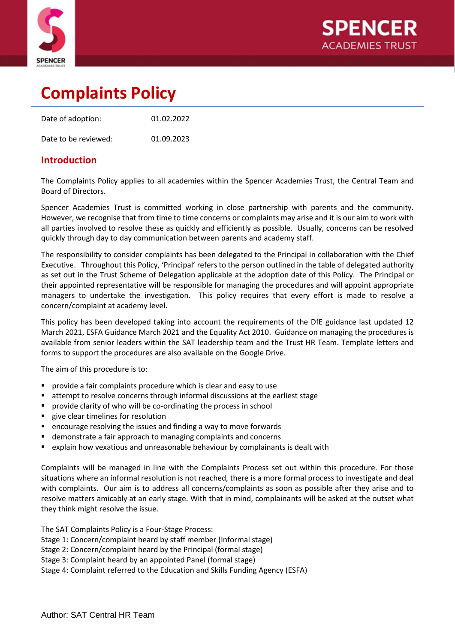



# **Complaints Policy**

| Date of adoption:    | 01.02.2022 |
|----------------------|------------|
| Date to be reviewed: | 01.09.2023 |

#### **Introduction**

The Complaints Policy applies to all academies within the Spencer Academies Trust, the Central Team and Board of Directors.

Spencer Academies Trust is committed working in close partnership with parents and the community. However, we recognise that from time to time concerns or complaints may arise and it is our aim to work with all parties involved to resolve these as quickly and efficiently as possible. Usually, concerns can be resolved quickly through day to day communication between parents and academy staff.

The responsibility to consider complaints has been delegated to the Principal in collaboration with the Chief Executive. Throughout this Policy, 'Principal' refers to the person outlined in the table of delegated authority as set out in the Trust Scheme of Delegation applicable at the adoption date of this Policy. The Principal or their appointed representative will be responsible for managing the procedures and will appoint appropriate managers to undertake the investigation. This policy requires that every effort is made to resolve a concern/complaint at academy level.

This policy has been developed taking into account the requirements of the DfE guidance last updated 12 March 2021, ESFA Guidance March 2021 and the Equality Act 2010. Guidance on managing the procedures is available from senior leaders within the SAT leadership team and the Trust HR Team. Template letters and forms to support the procedures are also available on the Google Drive.

The aim of this procedure is to:

- provide a fair complaints procedure which is clear and easy to use
- attempt to resolve concerns through informal discussions at the earliest stage
- provide clarity of who will be co-ordinating the process in school
- give clear timelines for resolution
- encourage resolving the issues and finding a way to move forwards
- demonstrate a fair approach to managing complaints and concerns
- explain how vexatious and unreasonable behaviour by complainants is dealt with

Complaints will be managed in line with the Complaints Process set out within this procedure. For those situations where an informal resolution is not reached, there is a more formal process to investigate and deal with complaints. Our aim is to address all concerns/complaints as soon as possible after they arise and to resolve matters amicably at an early stage. With that in mind, complainants will be asked at the outset what they think might resolve the issue.

The SAT Complaints Policy is a Four-Stage Process:

Stage 1: Concern/complaint heard by staff member (Informal stage)

Stage 2: Concern/complaint heard by the Principal (formal stage)

Stage 3: Complaint heard by an appointed Panel (formal stage)

Stage 4: Complaint referred to the Education and Skills Funding Agency (ESFA)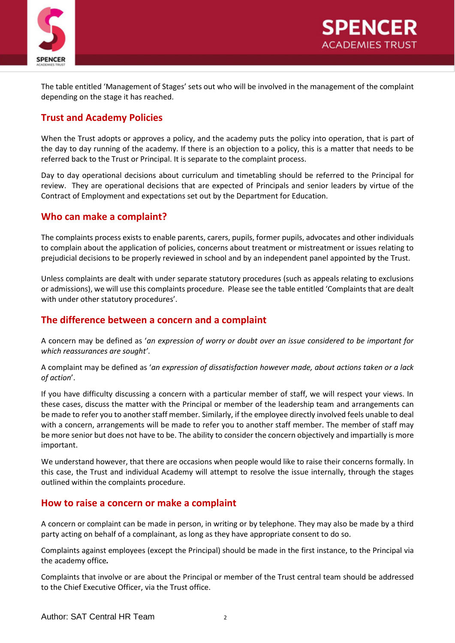

The table entitled 'Management of Stages' sets out who will be involved in the management of the complaint depending on the stage it has reached.

#### **Trust and Academy Policies**

When the Trust adopts or approves a policy, and the academy puts the policy into operation, that is part of the day to day running of the academy. If there is an objection to a policy, this is a matter that needs to be referred back to the Trust or Principal. It is separate to the complaint process.

Day to day operational decisions about curriculum and timetabling should be referred to the Principal for review. They are operational decisions that are expected of Principals and senior leaders by virtue of the Contract of Employment and expectations set out by the Department for Education.

#### **Who can make a complaint?**

The complaints process exists to enable parents, carers, pupils, former pupils, advocates and other individuals to complain about the application of policies, concerns about treatment or mistreatment or issues relating to prejudicial decisions to be properly reviewed in school and by an independent panel appointed by the Trust.

Unless complaints are dealt with under separate statutory procedures (such as appeals relating to exclusions or admissions), we will use this complaints procedure. Please see the table entitled 'Complaints that are dealt with under other statutory procedures'.

#### **The difference between a concern and a complaint**

A concern may be defined as '*an expression of worry or doubt over an issue considered to be important for which reassurances are sought'*.

A complaint may be defined as '*an expression of dissatisfaction however made, about actions taken or a lack of action*'.

If you have difficulty discussing a concern with a particular member of staff, we will respect your views. In these cases, discuss the matter with the Principal or member of the leadership team and arrangements can be made to refer you to another staff member. Similarly, if the employee directly involved feels unable to deal with a concern, arrangements will be made to refer you to another staff member. The member of staff may be more senior but does not have to be. The ability to consider the concern objectively and impartially is more important.

We understand however, that there are occasions when people would like to raise their concerns formally. In this case, the Trust and individual Academy will attempt to resolve the issue internally, through the stages outlined within the complaints procedure.

#### **How to raise a concern or make a complaint**

A concern or complaint can be made in person, in writing or by telephone. They may also be made by a third party acting on behalf of a complainant, as long as they have appropriate consent to do so.

Complaints against employees (except the Principal) should be made in the first instance, to the Principal via the academy office*.*

Complaints that involve or are about the Principal or member of the Trust central team should be addressed to the Chief Executive Officer, via the Trust office.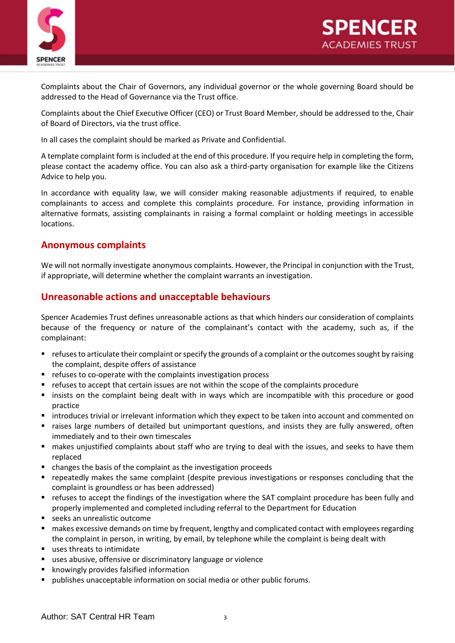



Complaints about the Chair of Governors, any individual governor or the whole governing Board should be addressed to the Head of Governance via the Trust office.

Complaints about the Chief Executive Officer (CEO) or Trust Board Member, should be addressed to the, Chair of Board of Directors, via the trust office.

In all cases the complaint should be marked as Private and Confidential.

A template complaint form is included at the end of this procedure. If you require help in completing the form, please contact the academy office. You can also ask a third-party organisation for example like the Citizens Advice to help you.

In accordance with equality law, we will consider making reasonable adjustments if required, to enable complainants to access and complete this complaints procedure. For instance, providing information in alternative formats, assisting complainants in raising a formal complaint or holding meetings in accessible locations.

#### **Anonymous complaints**

We will not normally investigate anonymous complaints. However, the Principal in conjunction with the Trust, if appropriate, will determine whether the complaint warrants an investigation.

#### **Unreasonable actions and unacceptable behaviours**

Spencer Academies Trust defines unreasonable actions as that which hinders our consideration of complaints because of the frequency or nature of the complainant's contact with the academy, such as, if the complainant:

- refuses to articulate their complaint or specify the grounds of a complaint or the outcomes sought by raising the complaint, despite offers of assistance
- refuses to co-operate with the complaints investigation process
- refuses to accept that certain issues are not within the scope of the complaints procedure
- insists on the complaint being dealt with in ways which are incompatible with this procedure or good practice
- introduces trivial or irrelevant information which they expect to be taken into account and commented on
- raises large numbers of detailed but unimportant questions, and insists they are fully answered, often immediately and to their own timescales
- makes unjustified complaints about staff who are trying to deal with the issues, and seeks to have them replaced
- changes the basis of the complaint as the investigation proceeds
- repeatedly makes the same complaint (despite previous investigations or responses concluding that the complaint is groundless or has been addressed)
- refuses to accept the findings of the investigation where the SAT complaint procedure has been fully and properly implemented and completed including referral to the Department for Education
- seeks an unrealistic outcome
- makes excessive demands on time by frequent, lengthy and complicated contact with employees regarding the complaint in person, in writing, by email, by telephone while the complaint is being dealt with
- uses threats to intimidate
- uses abusive, offensive or discriminatory language or violence
- knowingly provides falsified information
- publishes unacceptable information on social media or other public forums.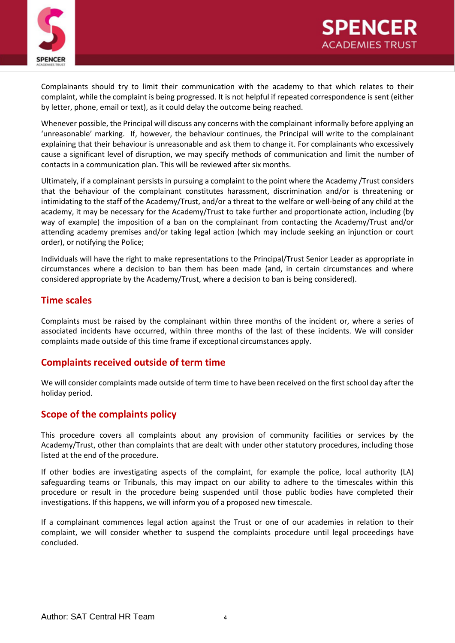



Complainants should try to limit their communication with the academy to that which relates to their complaint, while the complaint is being progressed. It is not helpful if repeated correspondence is sent (either by letter, phone, email or text), as it could delay the outcome being reached.

Whenever possible, the Principal will discuss any concerns with the complainant informally before applying an 'unreasonable' marking. If, however, the behaviour continues, the Principal will write to the complainant explaining that their behaviour is unreasonable and ask them to change it. For complainants who excessively cause a significant level of disruption, we may specify methods of communication and limit the number of contacts in a communication plan. This will be reviewed after six months.

Ultimately, if a complainant persists in pursuing a complaint to the point where the Academy /Trust considers that the behaviour of the complainant constitutes harassment, discrimination and/or is threatening or intimidating to the staff of the Academy/Trust, and/or a threat to the welfare or well-being of any child at the academy, it may be necessary for the Academy/Trust to take further and proportionate action, including (by way of example) the imposition of a ban on the complainant from contacting the Academy/Trust and/or attending academy premises and/or taking legal action (which may include seeking an injunction or court order), or notifying the Police;

Individuals will have the right to make representations to the Principal/Trust Senior Leader as appropriate in circumstances where a decision to ban them has been made (and, in certain circumstances and where considered appropriate by the Academy/Trust, where a decision to ban is being considered).

#### **Time scales**

Complaints must be raised by the complainant within three months of the incident or, where a series of associated incidents have occurred, within three months of the last of these incidents. We will consider complaints made outside of this time frame if exceptional circumstances apply.

#### **Complaints received outside of term time**

We will consider complaints made outside of term time to have been received on the first school day after the holiday period.

#### **Scope of the complaints policy**

This procedure covers all complaints about any provision of community facilities or services by the Academy/Trust, other than complaints that are dealt with under other statutory procedures, including those listed at the end of the procedure.

If other bodies are investigating aspects of the complaint, for example the police, local authority (LA) safeguarding teams or Tribunals, this may impact on our ability to adhere to the timescales within this procedure or result in the procedure being suspended until those public bodies have completed their investigations. If this happens, we will inform you of a proposed new timescale.

If a complainant commences legal action against the Trust or one of our academies in relation to their complaint, we will consider whether to suspend the complaints procedure until legal proceedings have concluded.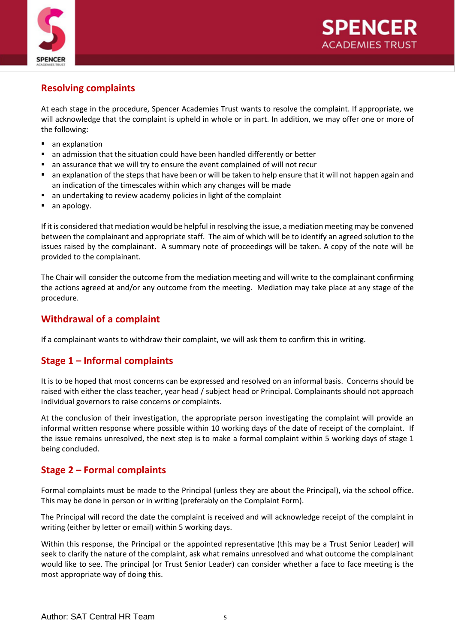

### **Resolving complaints**

At each stage in the procedure, Spencer Academies Trust wants to resolve the complaint. If appropriate, we will acknowledge that the complaint is upheld in whole or in part. In addition, we may offer one or more of the following:

- an explanation
- an admission that the situation could have been handled differently or better
- an assurance that we will try to ensure the event complained of will not recur
- an explanation of the steps that have been or will be taken to help ensure that it will not happen again and an indication of the timescales within which any changes will be made
- an undertaking to review academy policies in light of the complaint
- an apology.

If it is considered that mediation would be helpful in resolving the issue, a mediation meeting may be convened between the complainant and appropriate staff. The aim of which will be to identify an agreed solution to the issues raised by the complainant. A summary note of proceedings will be taken. A copy of the note will be provided to the complainant.

The Chair will consider the outcome from the mediation meeting and will write to the complainant confirming the actions agreed at and/or any outcome from the meeting. Mediation may take place at any stage of the procedure.

#### **Withdrawal of a complaint**

If a complainant wants to withdraw their complaint, we will ask them to confirm this in writing.

#### **Stage 1 – Informal complaints**

It is to be hoped that most concerns can be expressed and resolved on an informal basis. Concerns should be raised with either the class teacher, year head / subject head or Principal. Complainants should not approach individual governors to raise concerns or complaints.

At the conclusion of their investigation, the appropriate person investigating the complaint will provide an informal written response where possible within 10 working days of the date of receipt of the complaint. If the issue remains unresolved, the next step is to make a formal complaint within 5 working days of stage 1 being concluded.

#### **Stage 2 – Formal complaints**

Formal complaints must be made to the Principal (unless they are about the Principal), via the school office. This may be done in person or in writing (preferably on the Complaint Form).

The Principal will record the date the complaint is received and will acknowledge receipt of the complaint in writing (either by letter or email) within 5 working days.

Within this response, the Principal or the appointed representative (this may be a Trust Senior Leader) will seek to clarify the nature of the complaint, ask what remains unresolved and what outcome the complainant would like to see. The principal (or Trust Senior Leader) can consider whether a face to face meeting is the most appropriate way of doing this.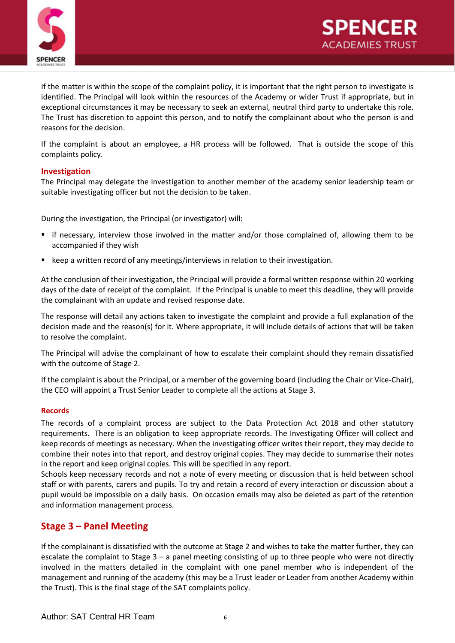

If the matter is within the scope of the complaint policy, it is important that the right person to investigate is identified. The Principal will look within the resources of the Academy or wider Trust if appropriate, but in exceptional circumstances it may be necessary to seek an external, neutral third party to undertake this role. The Trust has discretion to appoint this person, and to notify the complainant about who the person is and reasons for the decision.

If the complaint is about an employee, a HR process will be followed. That is outside the scope of this complaints policy.

#### **Investigation**

The Principal may delegate the investigation to another member of the academy senior leadership team or suitable investigating officer but not the decision to be taken.

During the investigation, the Principal (or investigator) will:

- if necessary, interview those involved in the matter and/or those complained of, allowing them to be accompanied if they wish
- keep a written record of any meetings/interviews in relation to their investigation.

At the conclusion of their investigation, the Principal will provide a formal written response within 20 working days of the date of receipt of the complaint. If the Principal is unable to meet this deadline, they will provide the complainant with an update and revised response date.

The response will detail any actions taken to investigate the complaint and provide a full explanation of the decision made and the reason(s) for it. Where appropriate, it will include details of actions that will be taken to resolve the complaint.

The Principal will advise the complainant of how to escalate their complaint should they remain dissatisfied with the outcome of Stage 2.

If the complaint is about the Principal, or a member of the governing board (including the Chair or Vice-Chair), the CEO will appoint a Trust Senior Leader to complete all the actions at Stage 3.

#### **Records**

The records of a complaint process are subject to the Data Protection Act 2018 and other statutory requirements. There is an obligation to keep appropriate records. The Investigating Officer will collect and keep records of meetings as necessary. When the investigating officer writes their report, they may decide to combine their notes into that report, and destroy original copies. They may decide to summarise their notes in the report and keep original copies. This will be specified in any report.

Schools keep necessary records and not a note of every meeting or discussion that is held between school staff or with parents, carers and pupils. To try and retain a record of every interaction or discussion about a pupil would be impossible on a daily basis. On occasion emails may also be deleted as part of the retention and information management process.

#### **Stage 3 – Panel Meeting**

If the complainant is dissatisfied with the outcome at Stage 2 and wishes to take the matter further, they can escalate the complaint to Stage 3 – a panel meeting consisting of up to three people who were not directly involved in the matters detailed in the complaint with one panel member who is independent of the management and running of the academy (this may be a Trust leader or Leader from another Academy within the Trust). This is the final stage of the SAT complaints policy.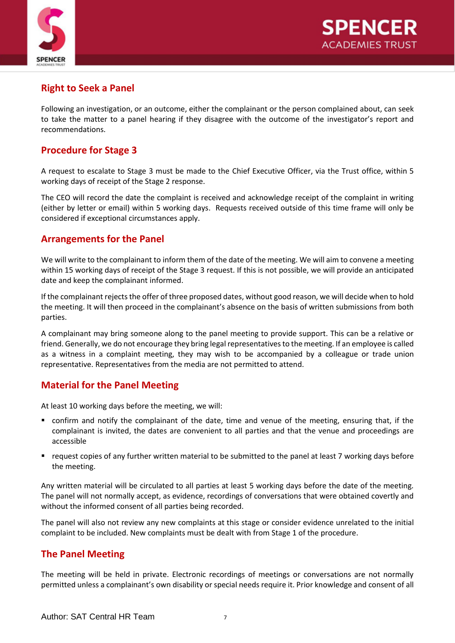

### **Right to Seek a Panel**

Following an investigation, or an outcome, either the complainant or the person complained about, can seek to take the matter to a panel hearing if they disagree with the outcome of the investigator's report and recommendations.

#### **Procedure for Stage 3**

A request to escalate to Stage 3 must be made to the Chief Executive Officer, via the Trust office, within 5 working days of receipt of the Stage 2 response.

The CEO will record the date the complaint is received and acknowledge receipt of the complaint in writing (either by letter or email) within 5 working days. Requests received outside of this time frame will only be considered if exceptional circumstances apply.

#### **Arrangements for the Panel**

We will write to the complainant to inform them of the date of the meeting. We will aim to convene a meeting within 15 working days of receipt of the Stage 3 request. If this is not possible, we will provide an anticipated date and keep the complainant informed.

If the complainant rejects the offer of three proposed dates, without good reason, we will decide when to hold the meeting. It will then proceed in the complainant's absence on the basis of written submissions from both parties.

A complainant may bring someone along to the panel meeting to provide support. This can be a relative or friend. Generally, we do not encourage they bring legal representatives to the meeting. If an employee is called as a witness in a complaint meeting, they may wish to be accompanied by a colleague or trade union representative. Representatives from the media are not permitted to attend.

### **Material for the Panel Meeting**

At least 10 working days before the meeting, we will:

- confirm and notify the complainant of the date, time and venue of the meeting, ensuring that, if the complainant is invited, the dates are convenient to all parties and that the venue and proceedings are accessible
- request copies of any further written material to be submitted to the panel at least 7 working days before the meeting.

Any written material will be circulated to all parties at least 5 working days before the date of the meeting. The panel will not normally accept, as evidence, recordings of conversations that were obtained covertly and without the informed consent of all parties being recorded.

The panel will also not review any new complaints at this stage or consider evidence unrelated to the initial complaint to be included. New complaints must be dealt with from Stage 1 of the procedure.

#### **The Panel Meeting**

The meeting will be held in private. Electronic recordings of meetings or conversations are not normally permitted unless a complainant's own disability or special needs require it. Prior knowledge and consent of all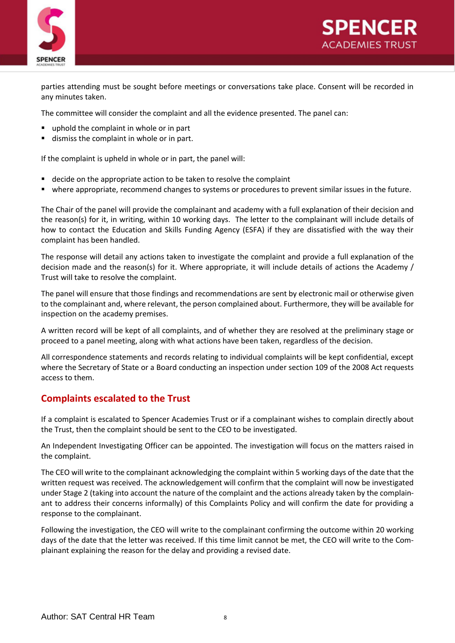

parties attending must be sought before meetings or conversations take place. Consent will be recorded in any minutes taken.

PENCE

ACADEMIES TRUST

The committee will consider the complaint and all the evidence presented. The panel can:

- uphold the complaint in whole or in part
- dismiss the complaint in whole or in part.

If the complaint is upheld in whole or in part, the panel will:

- decide on the appropriate action to be taken to resolve the complaint
- where appropriate, recommend changes to systems or procedures to prevent similar issues in the future.

The Chair of the panel will provide the complainant and academy with a full explanation of their decision and the reason(s) for it, in writing, within 10 working days. The letter to the complainant will include details of how to contact the Education and Skills Funding Agency (ESFA) if they are dissatisfied with the way their complaint has been handled.

The response will detail any actions taken to investigate the complaint and provide a full explanation of the decision made and the reason(s) for it. Where appropriate, it will include details of actions the Academy / Trust will take to resolve the complaint.

The panel will ensure that those findings and recommendations are sent by electronic mail or otherwise given to the complainant and, where relevant, the person complained about. Furthermore, they will be available for inspection on the academy premises.

A written record will be kept of all complaints, and of whether they are resolved at the preliminary stage or proceed to a panel meeting, along with what actions have been taken, regardless of the decision.

All correspondence statements and records relating to individual complaints will be kept confidential, except where the Secretary of State or a Board conducting an inspection under section 109 of the 2008 Act requests access to them.

#### **Complaints escalated to the Trust**

If a complaint is escalated to Spencer Academies Trust or if a complainant wishes to complain directly about the Trust, then the complaint should be sent to the CEO to be investigated.

An Independent Investigating Officer can be appointed. The investigation will focus on the matters raised in the complaint.

The CEO will write to the complainant acknowledging the complaint within 5 working days of the date that the written request was received. The acknowledgement will confirm that the complaint will now be investigated under Stage 2 (taking into account the nature of the complaint and the actions already taken by the complainant to address their concerns informally) of this Complaints Policy and will confirm the date for providing a response to the complainant.

Following the investigation, the CEO will write to the complainant confirming the outcome within 20 working days of the date that the letter was received. If this time limit cannot be met, the CEO will write to the Complainant explaining the reason for the delay and providing a revised date.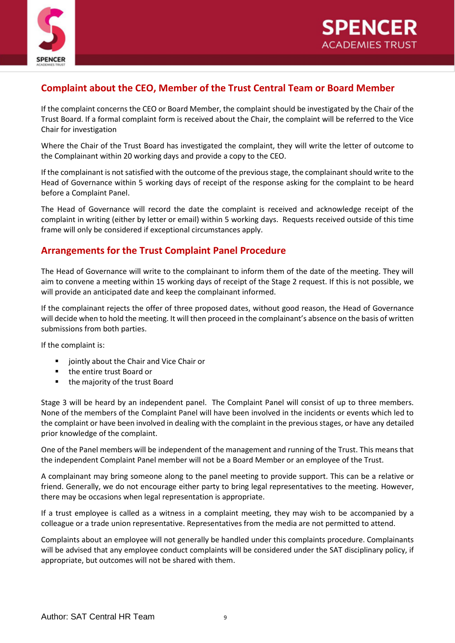



### **Complaint about the CEO, Member of the Trust Central Team or Board Member**

If the complaint concerns the CEO or Board Member, the complaint should be investigated by the Chair of the Trust Board. If a formal complaint form is received about the Chair, the complaint will be referred to the Vice Chair for investigation

Where the Chair of the Trust Board has investigated the complaint, they will write the letter of outcome to the Complainant within 20 working days and provide a copy to the CEO.

If the complainant is not satisfied with the outcome of the previous stage, the complainant should write to the Head of Governance within 5 working days of receipt of the response asking for the complaint to be heard before a Complaint Panel.

The Head of Governance will record the date the complaint is received and acknowledge receipt of the complaint in writing (either by letter or email) within 5 working days. Requests received outside of this time frame will only be considered if exceptional circumstances apply.

#### **Arrangements for the Trust Complaint Panel Procedure**

The Head of Governance will write to the complainant to inform them of the date of the meeting. They will aim to convene a meeting within 15 working days of receipt of the Stage 2 request. If this is not possible, we will provide an anticipated date and keep the complainant informed.

If the complainant rejects the offer of three proposed dates, without good reason, the Head of Governance will decide when to hold the meeting. It will then proceed in the complainant's absence on the basis of written submissions from both parties.

If the complaint is:

- jointly about the Chair and Vice Chair or
- the entire trust Board or
- the majority of the trust Board

Stage 3 will be heard by an independent panel. The Complaint Panel will consist of up to three members. None of the members of the Complaint Panel will have been involved in the incidents or events which led to the complaint or have been involved in dealing with the complaint in the previous stages, or have any detailed prior knowledge of the complaint.

One of the Panel members will be independent of the management and running of the Trust. This means that the independent Complaint Panel member will not be a Board Member or an employee of the Trust.

A complainant may bring someone along to the panel meeting to provide support. This can be a relative or friend. Generally, we do not encourage either party to bring legal representatives to the meeting. However, there may be occasions when legal representation is appropriate.

If a trust employee is called as a witness in a complaint meeting, they may wish to be accompanied by a colleague or a trade union representative. Representatives from the media are not permitted to attend.

Complaints about an employee will not generally be handled under this complaints procedure. Complainants will be advised that any employee conduct complaints will be considered under the SAT disciplinary policy, if appropriate, but outcomes will not be shared with them.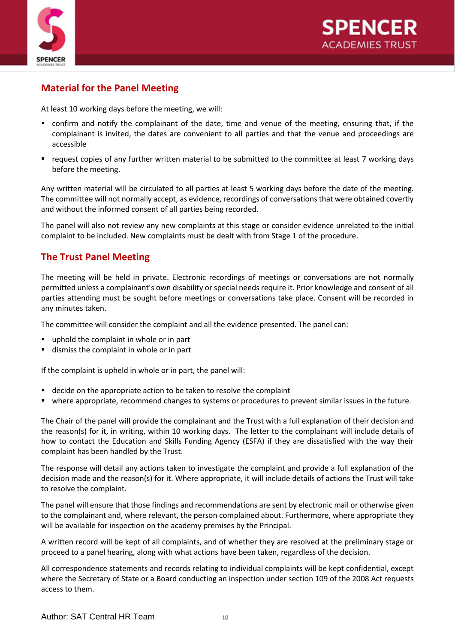

### **Material for the Panel Meeting**

At least 10 working days before the meeting, we will:

- confirm and notify the complainant of the date, time and venue of the meeting, ensuring that, if the complainant is invited, the dates are convenient to all parties and that the venue and proceedings are accessible
- request copies of any further written material to be submitted to the committee at least 7 working days before the meeting.

Any written material will be circulated to all parties at least 5 working days before the date of the meeting. The committee will not normally accept, as evidence, recordings of conversations that were obtained covertly and without the informed consent of all parties being recorded.

The panel will also not review any new complaints at this stage or consider evidence unrelated to the initial complaint to be included. New complaints must be dealt with from Stage 1 of the procedure.

#### **The Trust Panel Meeting**

The meeting will be held in private. Electronic recordings of meetings or conversations are not normally permitted unless a complainant's own disability or special needs require it. Prior knowledge and consent of all parties attending must be sought before meetings or conversations take place. Consent will be recorded in any minutes taken.

The committee will consider the complaint and all the evidence presented. The panel can:

- uphold the complaint in whole or in part
- dismiss the complaint in whole or in part

If the complaint is upheld in whole or in part, the panel will:

- decide on the appropriate action to be taken to resolve the complaint
- where appropriate, recommend changes to systems or procedures to prevent similar issues in the future.

The Chair of the panel will provide the complainant and the Trust with a full explanation of their decision and the reason(s) for it, in writing, within 10 working days. The letter to the complainant will include details of how to contact the Education and Skills Funding Agency (ESFA) if they are dissatisfied with the way their complaint has been handled by the Trust.

The response will detail any actions taken to investigate the complaint and provide a full explanation of the decision made and the reason(s) for it. Where appropriate, it will include details of actions the Trust will take to resolve the complaint.

The panel will ensure that those findings and recommendations are sent by electronic mail or otherwise given to the complainant and, where relevant, the person complained about. Furthermore, where appropriate they will be available for inspection on the academy premises by the Principal.

A written record will be kept of all complaints, and of whether they are resolved at the preliminary stage or proceed to a panel hearing, along with what actions have been taken, regardless of the decision.

All correspondence statements and records relating to individual complaints will be kept confidential, except where the Secretary of State or a Board conducting an inspection under section 109 of the 2008 Act requests access to them.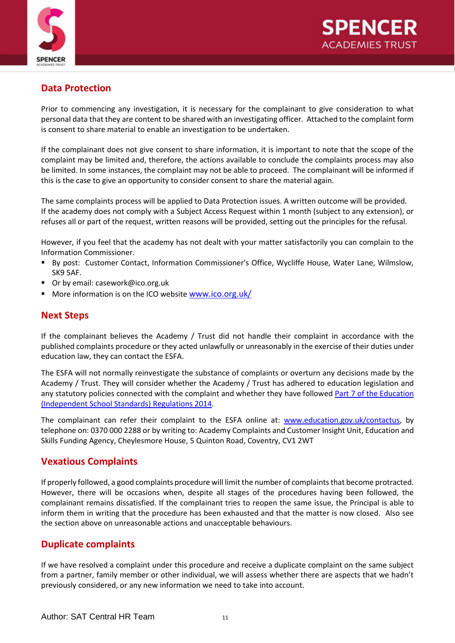

### **Data Protection**

Prior to commencing any investigation, it is necessary for the complainant to give consideration to what personal data that they are content to be shared with an investigating officer. Attached to the complaint form is consent to share material to enable an investigation to be undertaken.

If the complainant does not give consent to share information, it is important to note that the scope of the complaint may be limited and, therefore, the actions available to conclude the complaints process may also be limited. In some instances, the complaint may not be able to proceed. The complainant will be informed if this is the case to give an opportunity to consider consent to share the material again.

The same complaints process will be applied to Data Protection issues. A written outcome will be provided. If the academy does not comply with a Subject Access Request within 1 month (subject to any extension), or refuses all or part of the request, written reasons will be provided, setting out the principles for the refusal.

However, if you feel that the academy has not dealt with your matter satisfactorily you can complain to the Information Commissioner.

- By post: Customer Contact, Information Commissioner's Office, Wycliffe House, Water Lane, Wilmslow, SK9 5AF.
- Or by email: [casework@ico.org.uk](mailto:casework@ico.org.uk)
- More information is on the ICO website [www.ico.org.uk/](http://www.ico.org.uk/)

#### **Next Steps**

If the complainant believes the Academy / Trust did not handle their complaint in accordance with the published complaints procedure or they acted unlawfully or unreasonably in the exercise of their duties under education law, they can contact the ESFA.

The ESFA will not normally reinvestigate the substance of complaints or overturn any decisions made by the Academy / Trust. They will consider whether the Academy / Trust has adhered to education legislation and any statutory policies connected with the complaint and whether they have followed [Part 7 of the Education](http://www.legislation.gov.uk/uksi/2010/1997/schedule/1/made)  [\(Independent School Standards\) Regulations 2014.](http://www.legislation.gov.uk/uksi/2010/1997/schedule/1/made)

The complainant can refer their complaint to the ESFA online at: [www.education.gov.uk/contactus,](http://www.education.gov.uk/contactus) by telephone on: 0370 000 2288 or by writing to: Academy Complaints and Customer Insight Unit, Education and Skills Funding Agency, Cheylesmore House, 5 Quinton Road, Coventry, CV1 2WT

#### **Vexatious Complaints**

If properly followed, a good complaints procedure will limit the number of complaints that become protracted. However, there will be occasions when, despite all stages of the procedures having been followed, the complainant remains dissatisfied. If the complainant tries to reopen the same issue, the Principal is able to inform them in writing that the procedure has been exhausted and that the matter is now closed. Also see the section above on unreasonable actions and unacceptable behaviours.

#### **Duplicate complaints**

If we have resolved a complaint under this procedure and receive a duplicate complaint on the same subject from a partner, family member or other individual, we will assess whether there are aspects that we hadn't previously considered, or any new information we need to take into account.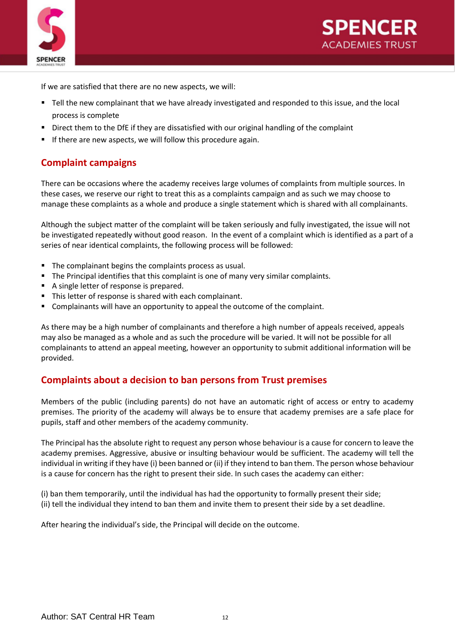



If we are satisfied that there are no new aspects, we will:

- Tell the new complainant that we have already investigated and responded to this issue, and the local process is complete
- Direct them to the DfE if they are dissatisfied with our original handling of the complaint
- If there are new aspects, we will follow this procedure again.

#### **Complaint campaigns**

There can be occasions where the academy receives large volumes of complaints from multiple sources. In these cases, we reserve our right to treat this as a complaints campaign and as such we may choose to manage these complaints as a whole and produce a single statement which is shared with all complainants.

Although the subject matter of the complaint will be taken seriously and fully investigated, the issue will not be investigated repeatedly without good reason. In the event of a complaint which is identified as a part of a series of near identical complaints, the following process will be followed:

- The complainant begins the complaints process as usual.
- The Principal identifies that this complaint is one of many very similar complaints.
- A single letter of response is prepared.
- **This letter of response is shared with each complainant.**
- Complainants will have an opportunity to appeal the outcome of the complaint.

As there may be a high number of complainants and therefore a high number of appeals received, appeals may also be managed as a whole and as such the procedure will be varied. It will not be possible for all complainants to attend an appeal meeting, however an opportunity to submit additional information will be provided.

#### **Complaints about a decision to ban persons from Trust premises**

Members of the public (including parents) do not have an automatic right of access or entry to academy premises. The priority of the academy will always be to ensure that academy premises are a safe place for pupils, staff and other members of the academy community.

The Principal has the absolute right to request any person whose behaviour is a cause for concern to leave the academy premises. Aggressive, abusive or insulting behaviour would be sufficient. The academy will tell the individual in writing if they have (i) been banned or (ii) if they intend to ban them. The person whose behaviour is a cause for concern has the right to present their side. In such cases the academy can either:

(i) ban them temporarily, until the individual has had the opportunity to formally present their side; (ii) tell the individual they intend to ban them and invite them to present their side by a set deadline.

After hearing the individual's side, the Principal will decide on the outcome.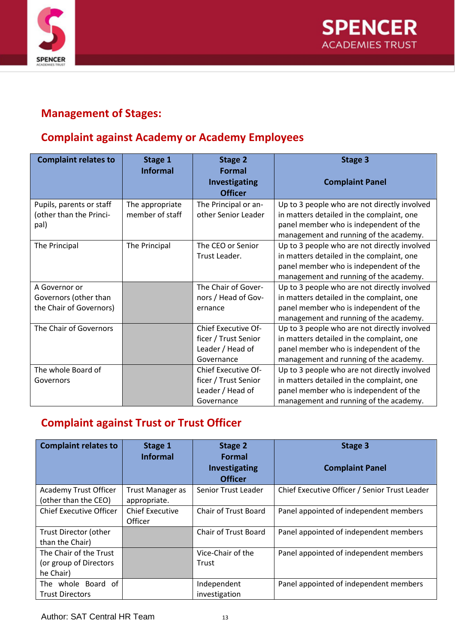



## **Management of Stages:**

## **Complaint against Academy or Academy Employees**

| <b>Complaint relates to</b>                                       | Stage 1<br><b>Informal</b>         | <b>Stage 2</b><br><b>Formal</b><br>Investigating<br><b>Officer</b>            | <b>Stage 3</b><br><b>Complaint Panel</b>                                                                                                                                      |
|-------------------------------------------------------------------|------------------------------------|-------------------------------------------------------------------------------|-------------------------------------------------------------------------------------------------------------------------------------------------------------------------------|
| Pupils, parents or staff<br>(other than the Princi-<br>pal)       | The appropriate<br>member of staff | The Principal or an-<br>other Senior Leader                                   | Up to 3 people who are not directly involved<br>in matters detailed in the complaint, one<br>panel member who is independent of the<br>management and running of the academy. |
| The Principal                                                     | The Principal                      | The CEO or Senior<br>Trust Leader.                                            | Up to 3 people who are not directly involved<br>in matters detailed in the complaint, one<br>panel member who is independent of the<br>management and running of the academy. |
| A Governor or<br>Governors (other than<br>the Chair of Governors) |                                    | The Chair of Gover-<br>nors / Head of Gov-<br>ernance                         | Up to 3 people who are not directly involved<br>in matters detailed in the complaint, one<br>panel member who is independent of the<br>management and running of the academy. |
| The Chair of Governors                                            |                                    | Chief Executive Of-<br>ficer / Trust Senior<br>Leader / Head of<br>Governance | Up to 3 people who are not directly involved<br>in matters detailed in the complaint, one<br>panel member who is independent of the<br>management and running of the academy. |
| The whole Board of<br>Governors                                   |                                    | Chief Executive Of-<br>ficer / Trust Senior<br>Leader / Head of<br>Governance | Up to 3 people who are not directly involved<br>in matters detailed in the complaint, one<br>panel member who is independent of the<br>management and running of the academy. |

## **Complaint against Trust or Trust Officer**

| <b>Complaint relates to</b>                                   | Stage 1<br><b>Informal</b>        | <b>Stage 2</b><br>Formal               | Stage 3                                       |
|---------------------------------------------------------------|-----------------------------------|----------------------------------------|-----------------------------------------------|
|                                                               |                                   | <b>Investigating</b><br><b>Officer</b> | <b>Complaint Panel</b>                        |
| <b>Academy Trust Officer</b><br>(other than the CEO)          | Trust Manager as<br>appropriate.  | Senior Trust Leader                    | Chief Executive Officer / Senior Trust Leader |
| <b>Chief Executive Officer</b>                                | <b>Chief Executive</b><br>Officer | <b>Chair of Trust Board</b>            | Panel appointed of independent members        |
| Trust Director (other<br>than the Chair)                      |                                   | <b>Chair of Trust Board</b>            | Panel appointed of independent members        |
| The Chair of the Trust<br>(or group of Directors<br>he Chair) |                                   | Vice-Chair of the<br>Trust             | Panel appointed of independent members        |
| The whole Board of<br><b>Trust Directors</b>                  |                                   | Independent<br>investigation           | Panel appointed of independent members        |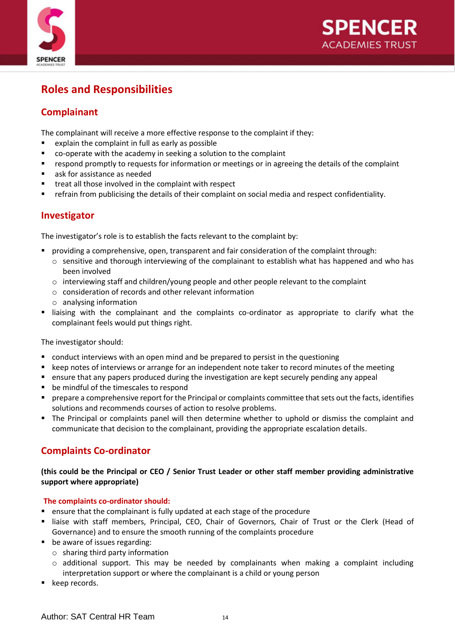



## **Roles and Responsibilities**

### **Complainant**

The complainant will receive a more effective response to the complaint if they:

- explain the complaint in full as early as possible
- co-operate with the academy in seeking a solution to the complaint
- respond promptly to requests for information or meetings or in agreeing the details of the complaint
- ask for assistance as needed
- treat all those involved in the complaint with respect
- **•** refrain from publicising the details of their complaint on social media and respect confidentiality.

#### **Investigator**

The investigator's role is to establish the facts relevant to the complaint by:

- providing a comprehensive, open, transparent and fair consideration of the complaint through:
	- $\circ$  sensitive and thorough interviewing of the complainant to establish what has happened and who has been involved
	- $\circ$  interviewing staff and children/young people and other people relevant to the complaint
	- o consideration of records and other relevant information
	- o analysing information
- liaising with the complainant and the complaints co-ordinator as appropriate to clarify what the complainant feels would put things right.

The investigator should:

- conduct interviews with an open mind and be prepared to persist in the questioning
- keep notes of interviews or arrange for an independent note taker to record minutes of the meeting
- ensure that any papers produced during the investigation are kept securely pending any appeal
- be mindful of the timescales to respond
- prepare a comprehensive report for the Principal or complaints committee that sets out the facts, identifies solutions and recommends courses of action to resolve problems.
- The Principal or complaints panel will then determine whether to uphold or dismiss the complaint and communicate that decision to the complainant, providing the appropriate escalation details.

### **Complaints Co-ordinator**

#### **(this could be the Principal or CEO / Senior Trust Leader or other staff member providing administrative support where appropriate)**

#### **The complaints co-ordinator should:**

- ensure that the complainant is fully updated at each stage of the procedure
- " liaise with staff members, Principal, CEO, Chair of Governors, Chair of Trust or the Clerk (Head of Governance) and to ensure the smooth running of the complaints procedure
- be aware of issues regarding:
	- o sharing third party information
	- $\circ$  additional support. This may be needed by complainants when making a complaint including interpretation support or where the complainant is a child or young person
- keep records.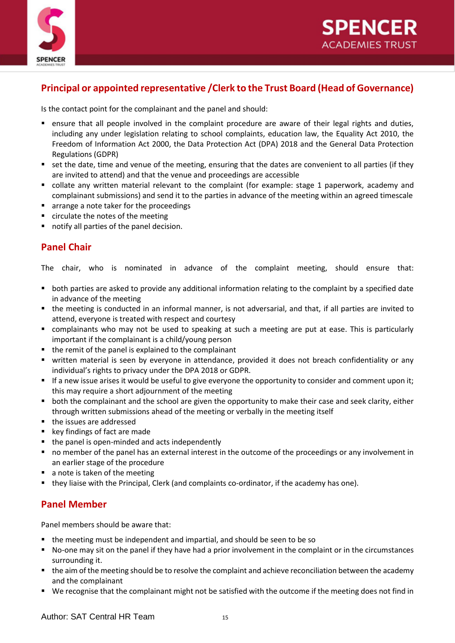



#### **Principal or appointed representative /Clerk to the Trust Board (Head of Governance)**

Is the contact point for the complainant and the panel and should:

- ensure that all people involved in the complaint procedure are aware of their legal rights and duties, including any under legislation relating to school complaints, education law, the Equality Act 2010, the Freedom of Information Act 2000, the Data Protection Act (DPA) 2018 and the General Data Protection Regulations (GDPR)
- set the date, time and venue of the meeting, ensuring that the dates are convenient to all parties (if they are invited to attend) and that the venue and proceedings are accessible
- collate any written material relevant to the complaint (for example: stage 1 paperwork, academy and complainant submissions) and send it to the parties in advance of the meeting within an agreed timescale
- arrange a note taker for the proceedings
- circulate the notes of the meeting
- notify all parties of the panel decision.

#### **Panel Chair**

The chair, who is nominated in advance of the complaint meeting, should ensure that:

- both parties are asked to provide any additional information relating to the complaint by a specified date in advance of the meeting
- the meeting is conducted in an informal manner, is not adversarial, and that, if all parties are invited to attend, everyone is treated with respect and courtesy
- complainants who may not be used to speaking at such a meeting are put at ease. This is particularly important if the complainant is a child/young person
- the remit of the panel is explained to the complainant
- written material is seen by everyone in attendance, provided it does not breach confidentiality or any individual's rights to privacy under the DPA 2018 or GDPR.
- If a new issue arises it would be useful to give everyone the opportunity to consider and comment upon it; this may require a short adjournment of the meeting
- both the complainant and the school are given the opportunity to make their case and seek clarity, either through written submissions ahead of the meeting or verbally in the meeting itself
- the issues are addressed
- key findings of fact are made
- the panel is open-minded and acts independently
- no member of the panel has an external interest in the outcome of the proceedings or any involvement in an earlier stage of the procedure
- a note is taken of the meeting
- they liaise with the Principal, Clerk (and complaints co-ordinator, if the academy has one).

### **Panel Member**

Panel members should be aware that:

- the meeting must be independent and impartial, and should be seen to be so
- No-one may sit on the panel if they have had a prior involvement in the complaint or in the circumstances surrounding it.
- the aim of the meeting should be to resolve the complaint and achieve reconciliation between the academy and the complainant
- We recognise that the complainant might not be satisfied with the outcome if the meeting does not find in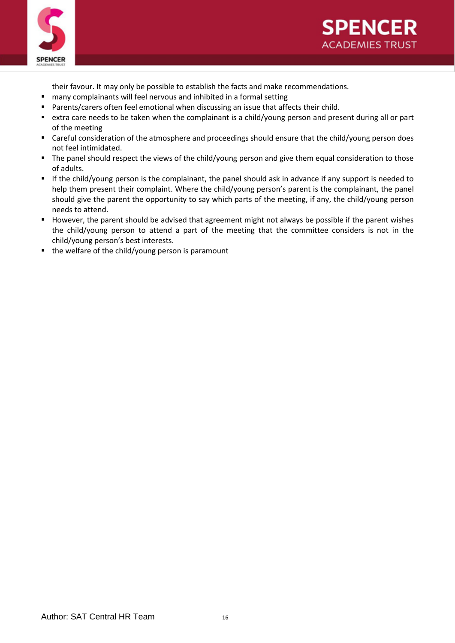



their favour. It may only be possible to establish the facts and make recommendations.

- many complainants will feel nervous and inhibited in a formal setting
- Parents/carers often feel emotional when discussing an issue that affects their child.
- extra care needs to be taken when the complainant is a child/young person and present during all or part of the meeting
- Careful consideration of the atmosphere and proceedings should ensure that the child/young person does not feel intimidated.
- The panel should respect the views of the child/young person and give them equal consideration to those of adults.
- If the child/young person is the complainant, the panel should ask in advance if any support is needed to help them present their complaint. Where the child/young person's parent is the complainant, the panel should give the parent the opportunity to say which parts of the meeting, if any, the child/young person needs to attend.
- However, the parent should be advised that agreement might not always be possible if the parent wishes the child/young person to attend a part of the meeting that the committee considers is not in the child/young person's best interests.
- the welfare of the child/young person is paramount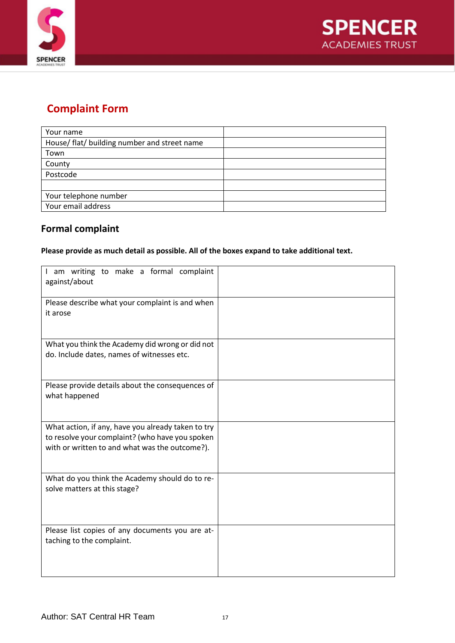



## **Complaint Form**

### **Formal complaint**

#### **Please provide as much detail as possible. All of the boxes expand to take additional text.**

| I am writing to make a formal complaint<br>against/about                                                                                                |  |
|---------------------------------------------------------------------------------------------------------------------------------------------------------|--|
| Please describe what your complaint is and when<br>it arose                                                                                             |  |
| What you think the Academy did wrong or did not<br>do. Include dates, names of witnesses etc.                                                           |  |
| Please provide details about the consequences of<br>what happened                                                                                       |  |
| What action, if any, have you already taken to try<br>to resolve your complaint? (who have you spoken<br>with or written to and what was the outcome?). |  |
| What do you think the Academy should do to re-<br>solve matters at this stage?                                                                          |  |
| Please list copies of any documents you are at-<br>taching to the complaint.                                                                            |  |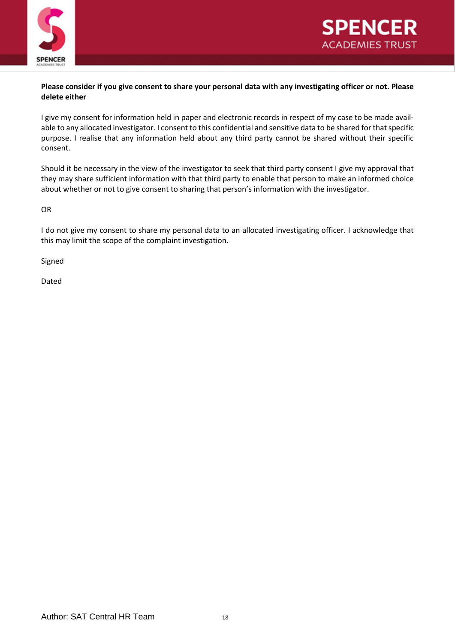



#### **Please consider if you give consent to share your personal data with any investigating officer or not. Please delete either**

I give my consent for information held in paper and electronic records in respect of my case to be made available to any allocated investigator. I consent to this confidential and sensitive data to be shared for that specific purpose. I realise that any information held about any third party cannot be shared without their specific consent.

Should it be necessary in the view of the investigator to seek that third party consent I give my approval that they may share sufficient information with that third party to enable that person to make an informed choice about whether or not to give consent to sharing that person's information with the investigator.

OR

I do not give my consent to share my personal data to an allocated investigating officer. I acknowledge that this may limit the scope of the complaint investigation.

Signed

Dated